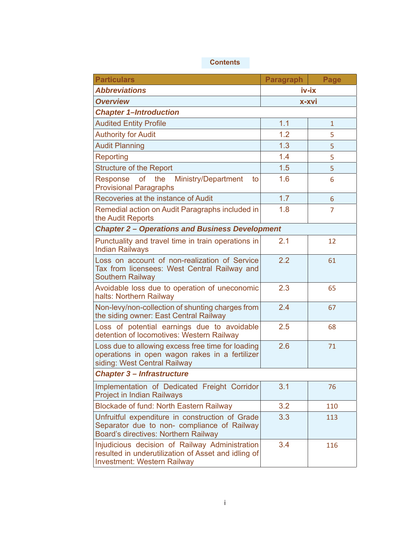## **Contents**

| <b>Particulars</b>                                                                                                                          | <b>Paragraph</b> | Page |  |  |
|---------------------------------------------------------------------------------------------------------------------------------------------|------------------|------|--|--|
| <b>Abbreviations</b>                                                                                                                        | iv-ix            |      |  |  |
| <b>Overview</b>                                                                                                                             | x-xvi            |      |  |  |
| <b>Chapter 1-Introduction</b>                                                                                                               |                  |      |  |  |
| <b>Audited Entity Profile</b>                                                                                                               | 1.1              | 1    |  |  |
| <b>Authority for Audit</b>                                                                                                                  | 1.2              | 5    |  |  |
| <b>Audit Planning</b>                                                                                                                       | 1.3              | 5    |  |  |
| Reporting                                                                                                                                   | 1.4              | 5    |  |  |
| <b>Structure of the Report</b>                                                                                                              | 1.5              | 5    |  |  |
| of the Ministry/Department<br>Response<br>to<br><b>Provisional Paragraphs</b>                                                               | 1.6              | 6    |  |  |
| Recoveries at the instance of Audit                                                                                                         | 1.7              | 6    |  |  |
| Remedial action on Audit Paragraphs included in<br>the Audit Reports                                                                        | 1.8              | 7    |  |  |
| <b>Chapter 2 - Operations and Business Development</b>                                                                                      |                  |      |  |  |
| Punctuality and travel time in train operations in<br><b>Indian Railways</b>                                                                | 2.1              | 12   |  |  |
| Loss on account of non-realization of Service<br>Tax from licensees: West Central Railway and<br><b>Southern Railway</b>                    | 2.2              | 61   |  |  |
| Avoidable loss due to operation of uneconomic<br>halts: Northern Railway                                                                    | 2.3              | 65   |  |  |
| Non-levy/non-collection of shunting charges from<br>the siding owner: East Central Railway                                                  | 2.4              | 67   |  |  |
| Loss of potential earnings due to avoidable<br>detention of locomotives: Western Railway                                                    | 2.5              | 68   |  |  |
| Loss due to allowing excess free time for loading<br>operations in open wagon rakes in a fertilizer<br>siding: West Central Railway         | 2.6              | 71   |  |  |
| <b>Chapter 3 - Infrastructure</b>                                                                                                           |                  |      |  |  |
| Implementation of Dedicated Freight Corridor<br><b>Project in Indian Railways</b>                                                           | 3.1              | 76   |  |  |
| <b>Blockade of fund: North Eastern Railway</b>                                                                                              | 3.2              | 110  |  |  |
| Unfruitful expenditure in construction of Grade<br>Separator due to non- compliance of Railway<br>Board's directives: Northern Railway      | 3.3              | 113  |  |  |
| Injudicious decision of Railway Administration<br>resulted in underutilization of Asset and idling of<br><b>Investment: Western Railway</b> | 3.4              | 116  |  |  |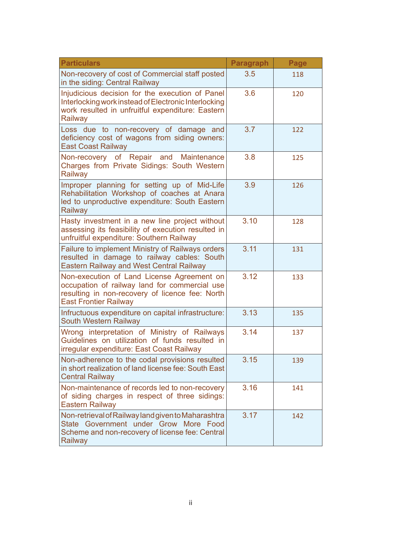| <b>Particulars</b>                                                                                                                                                             | <b>Paragraph</b> | Page |
|--------------------------------------------------------------------------------------------------------------------------------------------------------------------------------|------------------|------|
| Non-recovery of cost of Commercial staff posted<br>in the siding: Central Railway                                                                                              | 3.5              | 118  |
| Injudicious decision for the execution of Panel<br>Interlocking work instead of Electronic Interlocking<br>work resulted in unfruitful expenditure: Eastern<br>Railway         | 3.6              | 120  |
| Loss due to non-recovery of damage and<br>deficiency cost of wagons from siding owners:<br><b>East Coast Railway</b>                                                           | 3.7              | 122  |
| Non-recovery of Repair and Maintenance<br>Charges from Private Sidings: South Western<br>Railway                                                                               | 3.8              | 125  |
| Improper planning for setting up of Mid-Life<br>Rehabilitation Workshop of coaches at Anara<br>led to unproductive expenditure: South Eastern<br>Railway                       | 3.9              | 126  |
| Hasty investment in a new line project without<br>assessing its feasibility of execution resulted in<br>unfruitful expenditure: Southern Railway                               | 3.10             | 128  |
| Failure to implement Ministry of Railways orders<br>resulted in damage to railway cables: South<br><b>Eastern Railway and West Central Railway</b>                             | 3.11             | 131  |
| Non-execution of Land License Agreement on<br>occupation of railway land for commercial use<br>resulting in non-recovery of licence fee: North<br><b>East Frontier Railway</b> | 3.12             | 133  |
| Infructuous expenditure on capital infrastructure:<br><b>South Western Railway</b>                                                                                             | 3.13             | 135  |
| Wrong interpretation of Ministry of Railways<br>Guidelines on utilization of funds resulted in<br>irregular expenditure: East Coast Railway                                    | 3.14             | 137  |
| Non-adherence to the codal provisions resulted<br>in short realization of land license fee: South East<br><b>Central Railway</b>                                               | 3.15             | 139  |
| Non-maintenance of records led to non-recovery<br>of siding charges in respect of three sidings:<br><b>Eastern Railway</b>                                                     | 3.16             | 141  |
| Non-retrieval of Railway land given to Maharashtra<br>State Government under Grow More Food<br>Scheme and non-recovery of license fee: Central<br>Railway                      | 3.17             | 142  |